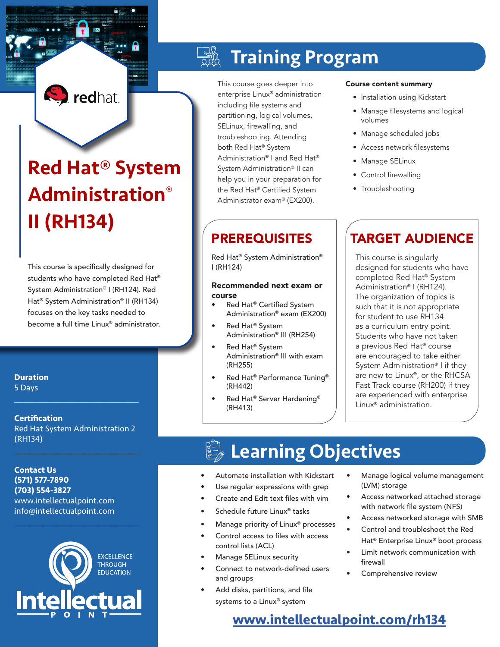## **S** redhat

# Red Hat® System Administration® II (RH134)

This course is specifically designed for students who have completed Red Hat® System Administration® I (RH124). Red Hat® System Administration® II (RH134) focuses on the key tasks needed to become a full time Linux® administrator.

**Duration** 5 Days

**Certification** Red Hat System Administration 2 (RH134)

 $\mathcal{L}_\text{max}$  and  $\mathcal{L}_\text{max}$  and  $\mathcal{L}_\text{max}$  and  $\mathcal{L}_\text{max}$ 

 $\mathcal{L}_\text{max}$  and  $\mathcal{L}_\text{max}$  and  $\mathcal{L}_\text{max}$  and  $\mathcal{L}_\text{max}$ 

**Contact Us (571) 577-7890 (703) 554-3827** www.intellectualpoint.com info@intellectualpoint.com



 $\mathcal{L}_\text{max}$  , and the set of the set of the set of the set of the set of the set of the set of the set of the set of the set of the set of the set of the set of the set of the set of the set of the set of the set of the

## Training Program

This course goes deeper into enterprise Linux® administration including file systems and partitioning, logical volumes, SELinux, firewalling, and troubleshooting. Attending both Red Hat® System Administration® I and Red Hat® System Administration® II can help you in your preparation for the Red Hat® Certified System Administrator exam® (EX200).

Red Hat® System Administration® I (RH124)

#### Recommended next exam or course

- Red Hat® Certified System Administration® exam (EX200)
- Red Hat<sup>®</sup> System Administration® III (RH254)
- Red Hat<sup>®</sup> System Administration® III with exam (RH255)
- Red Hat® Performance Tuning® (RH442)
- Red Hat® Server Hardening® (RH413)

#### Course content summary

- Installation using Kickstart
- Manage filesystems and logical volumes
- Manage scheduled jobs
- Access network filesystems
- Manage SELinux
- Control firewalling
- Troubleshooting

## PREREQUISITES | TARGET AUDIENCE

This course is singularly designed for students who have completed Red Hat® System Administration® I (RH124). The organization of topics is such that it is not appropriate for student to use RH134 as a curriculum entry point. Students who have not taken a previous Red Hat® course are encouraged to take either System Administration® I if they are new to Linux®, or the RHCSA Fast Track course (RH200) if they are experienced with enterprise Linux® administration.

## Learning Objectives

- Automate installation with Kickstart
- Use regular expressions with grep
- Create and Edit text files with vim
- Schedule future Linux<sup>®</sup> tasks
- Manage priority of Linux<sup>®</sup> processes
- Control access to files with access control lists (ACL)
- Manage SELinux security
- Connect to network-defined users and groups
- Add disks, partitions, and file systems to a Linux® system
- Manage logical volume management (LVM) storage
- Access networked attached storage with network file system (NFS)
- Access networked storage with SMB
- Control and troubleshoot the Red Hat® Enterprise Linux® boot process
- Limit network communication with firewall
- Comprehensive review

### **[www.intellectualpoint.com/](https://www.intellectualpoint.com/product/red-hat-certified-systems-administrator-2/)rh134**